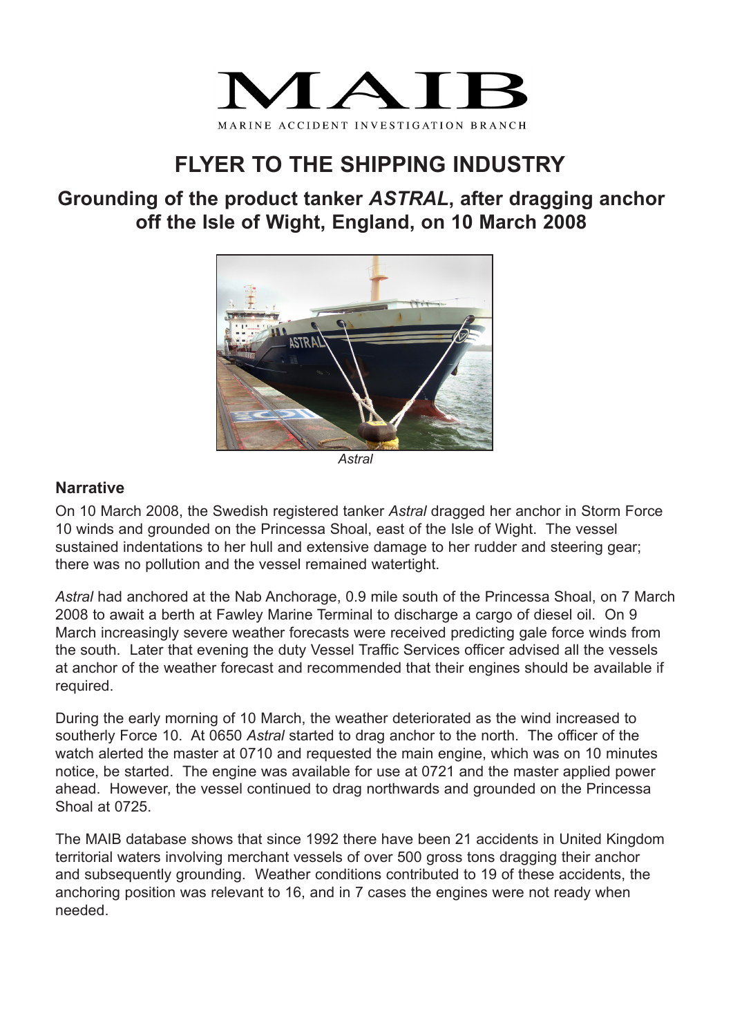

# **FLYER TO THE SHIPPING INDUSTRY**

## **Grounding of the product tanker** *ASTRAL***, after dragging anchor off the Isle of Wight, England, on 10 March 2008**



*Astral*

### **Narrative**

On 10 March 2008, the Swedish registered tanker *Astral* dragged her anchor in Storm Force 10 winds and grounded on the Princessa Shoal, east of the Isle of Wight. The vessel sustained indentations to her hull and extensive damage to her rudder and steering gear; there was no pollution and the vessel remained watertight.

*Astral* had anchored at the Nab Anchorage, 0.9 mile south of the Princessa Shoal, on 7 March 2008 to await a berth at Fawley Marine Terminal to discharge a cargo of diesel oil. On 9 March increasingly severe weather forecasts were received predicting gale force winds from the south. Later that evening the duty Vessel Traffic Services officer advised all the vessels at anchor of the weather forecast and recommended that their engines should be available if required.

During the early morning of 10 March, the weather deteriorated as the wind increased to southerly Force 10. At 0650 *Astral* started to drag anchor to the north. The officer of the watch alerted the master at 0710 and requested the main engine, which was on 10 minutes notice, be started. The engine was available for use at 0721 and the master applied power ahead. However, the vessel continued to drag northwards and grounded on the Princessa Shoal at 0725.

The MAIB database shows that since 1992 there have been 21 accidents in United Kingdom territorial waters involving merchant vessels of over 500 gross tons dragging their anchor and subsequently grounding. Weather conditions contributed to 19 of these accidents, the anchoring position was relevant to 16, and in 7 cases the engines were not ready when needed.